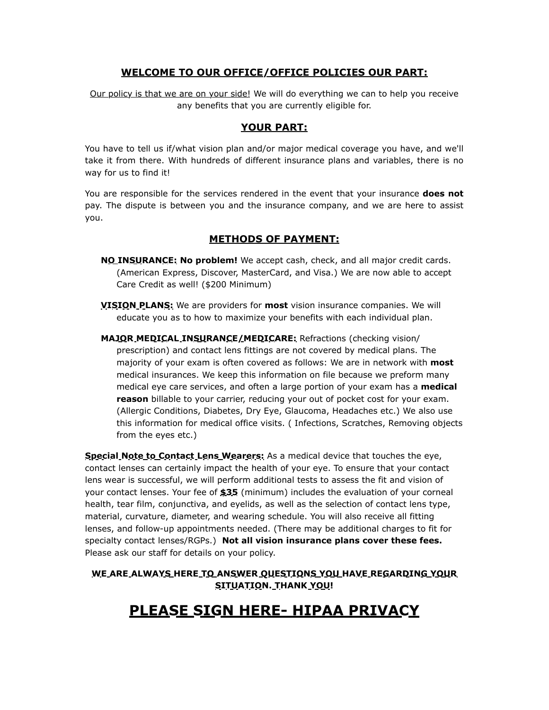## **WELCOME TO OUR OFFICE/OFFICE POLICIES OUR PART:**

Our policy is that we are on your side! We will do everything we can to help you receive any benefits that you are currently eligible for.

#### **YOUR PART:**

You have to tell us if/what vision plan and/or major medical coverage you have, and we'll take it from there. With hundreds of different insurance plans and variables, there is no way for us to find it!

You are responsible for the services rendered in the event that your insurance **does not**  pay. The dispute is between you and the insurance company, and we are here to assist you.

### **METHODS OF PAYMENT:**

- **NO INSURANCE: No problem!** We accept cash, check, and all major credit cards. (American Express, Discover, MasterCard, and Visa.) We are now able to accept Care Credit as well! (\$200 Minimum)
- **VISION PLANS:** We are providers for **most** vision insurance companies. We will educate you as to how to maximize your benefits with each individual plan.
- **MAJOR MEDICAL INSURANCE/MEDICARE:** Refractions (checking vision/ prescription) and contact lens fittings are not covered by medical plans. The majority of your exam is often covered as follows: We are in network with **most** medical insurances. We keep this information on file because we preform many medical eye care services, and often a large portion of your exam has a **medical reason** billable to your carrier, reducing your out of pocket cost for your exam. (Allergic Conditions, Diabetes, Dry Eye, Glaucoma, Headaches etc.) We also use this information for medical office visits. ( Infections, Scratches, Removing objects from the eyes etc.)

**Special Note to Contact Lens Wearers:** As a medical device that touches the eye, contact lenses can certainly impact the health of your eye. To ensure that your contact lens wear is successful, we will perform additional tests to assess the fit and vision of your contact lenses. Your fee of **\$35** (minimum) includes the evaluation of your corneal health, tear film, conjunctiva, and eyelids, as well as the selection of contact lens type, material, curvature, diameter, and wearing schedule. You will also receive all fitting lenses, and follow-up appointments needed. (There may be additional charges to fit for specialty contact lenses/RGPs.) **Not all vision insurance plans cover these fees.**  Please ask our staff for details on your policy.

#### **WE ARE ALWAYS HERE TO ANSWER QUESTIONS YOU HAVE REGARDING YOUR SITUATION. THANK YOU!**

# **PLEASE SIGN HERE- HIPAA PRIVACY**